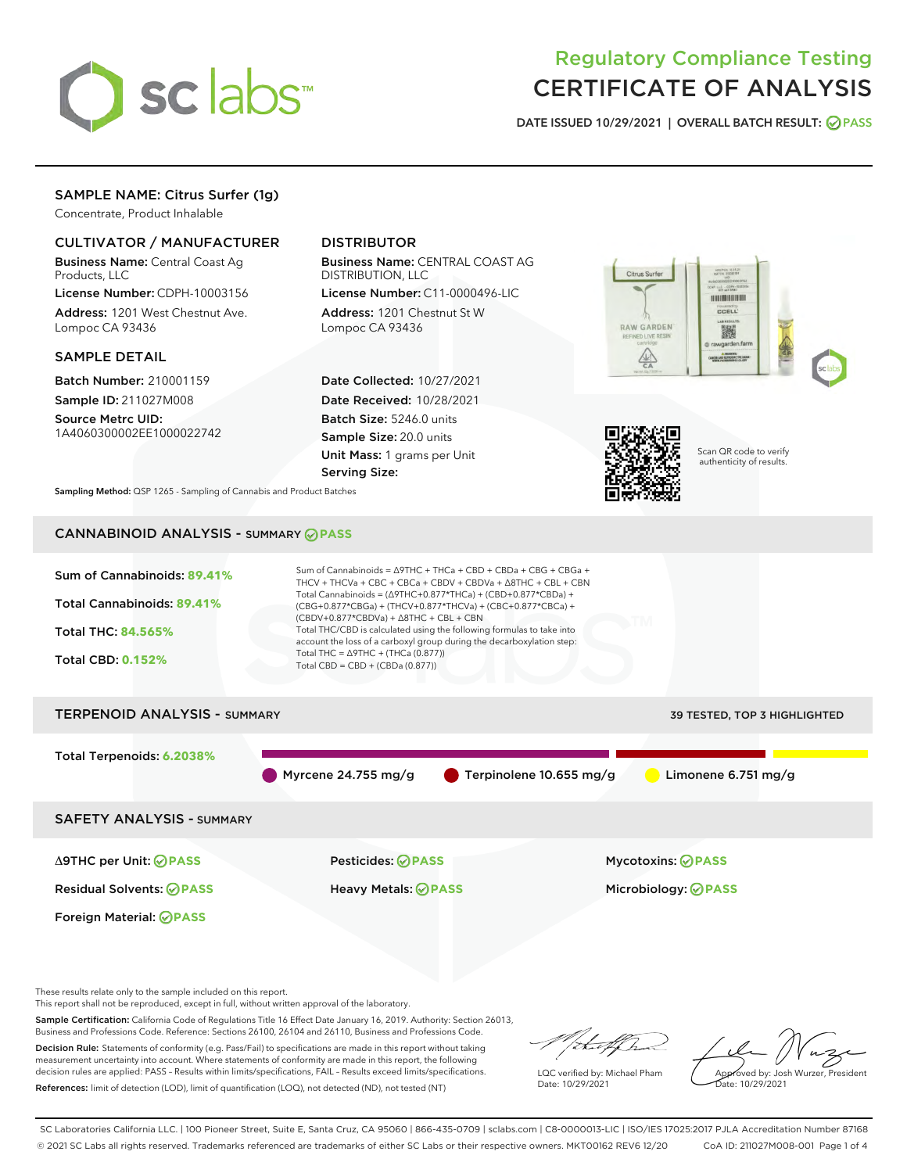

# Regulatory Compliance Testing CERTIFICATE OF ANALYSIS

DATE ISSUED 10/29/2021 | OVERALL BATCH RESULT: @ PASS

# SAMPLE NAME: Citrus Surfer (1g)

Concentrate, Product Inhalable

# CULTIVATOR / MANUFACTURER

Business Name: Central Coast Ag Products, LLC

License Number: CDPH-10003156 Address: 1201 West Chestnut Ave. Lompoc CA 93436

## SAMPLE DETAIL

Batch Number: 210001159 Sample ID: 211027M008

Source Metrc UID: 1A4060300002EE1000022742

# DISTRIBUTOR

Business Name: CENTRAL COAST AG DISTRIBUTION, LLC

License Number: C11-0000496-LIC Address: 1201 Chestnut St W Lompoc CA 93436

Date Collected: 10/27/2021 Date Received: 10/28/2021 Batch Size: 5246.0 units Sample Size: 20.0 units Unit Mass: 1 grams per Unit Serving Size:





Scan QR code to verify authenticity of results.

Sampling Method: QSP 1265 - Sampling of Cannabis and Product Batches

# CANNABINOID ANALYSIS - SUMMARY **PASS**



This report shall not be reproduced, except in full, without written approval of the laboratory.

Sample Certification: California Code of Regulations Title 16 Effect Date January 16, 2019. Authority: Section 26013, Business and Professions Code. Reference: Sections 26100, 26104 and 26110, Business and Professions Code.

Decision Rule: Statements of conformity (e.g. Pass/Fail) to specifications are made in this report without taking measurement uncertainty into account. Where statements of conformity are made in this report, the following decision rules are applied: PASS – Results within limits/specifications, FAIL – Results exceed limits/specifications. References: limit of detection (LOD), limit of quantification (LOQ), not detected (ND), not tested (NT)

that f(ha

LQC verified by: Michael Pham Date: 10/29/2021

Approved by: Josh Wurzer, President Date: 10/29/2021

SC Laboratories California LLC. | 100 Pioneer Street, Suite E, Santa Cruz, CA 95060 | 866-435-0709 | sclabs.com | C8-0000013-LIC | ISO/IES 17025:2017 PJLA Accreditation Number 87168 © 2021 SC Labs all rights reserved. Trademarks referenced are trademarks of either SC Labs or their respective owners. MKT00162 REV6 12/20 CoA ID: 211027M008-001 Page 1 of 4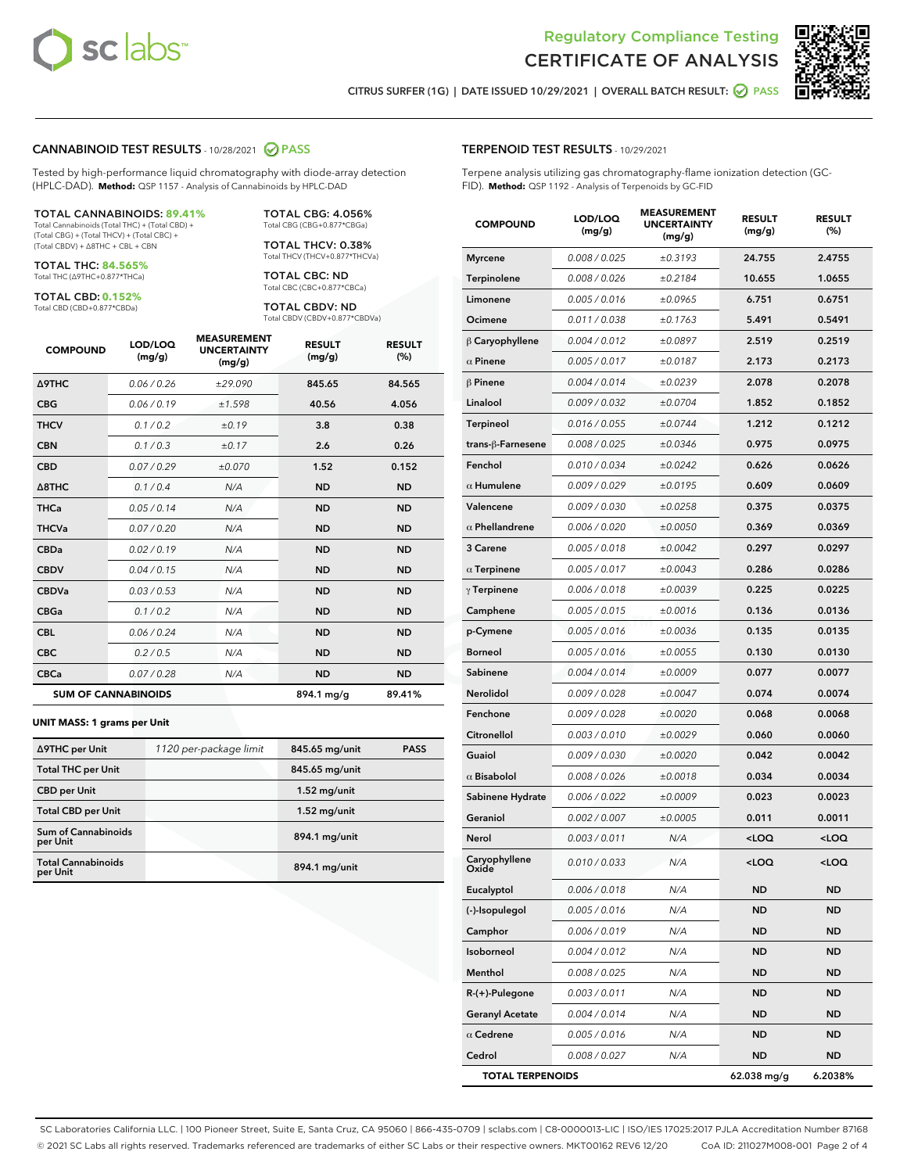



CITRUS SURFER (1G) | DATE ISSUED 10/29/2021 | OVERALL BATCH RESULT: @ PASS

#### CANNABINOID TEST RESULTS - 10/28/2021 2 PASS

Tested by high-performance liquid chromatography with diode-array detection (HPLC-DAD). **Method:** QSP 1157 - Analysis of Cannabinoids by HPLC-DAD

#### TOTAL CANNABINOIDS: **89.41%**

Total Cannabinoids (Total THC) + (Total CBD) + (Total CBG) + (Total THCV) + (Total CBC) + (Total CBDV) + ∆8THC + CBL + CBN

TOTAL THC: **84.565%** Total THC (∆9THC+0.877\*THCa)

TOTAL CBD: **0.152%**

Total CBD (CBD+0.877\*CBDa)

TOTAL CBG: 4.056% Total CBG (CBG+0.877\*CBGa)

TOTAL THCV: 0.38% Total THCV (THCV+0.877\*THCVa)

TOTAL CBC: ND Total CBC (CBC+0.877\*CBCa)

TOTAL CBDV: ND Total CBDV (CBDV+0.877\*CBDVa)

| <b>COMPOUND</b>  | LOD/LOQ<br>(mg/g)          | <b>MEASUREMENT</b><br><b>UNCERTAINTY</b><br>(mg/g) | <b>RESULT</b><br>(mg/g) | <b>RESULT</b><br>(%) |
|------------------|----------------------------|----------------------------------------------------|-------------------------|----------------------|
| <b>A9THC</b>     | 0.06 / 0.26                | ±29.090                                            | 845.65                  | 84.565               |
| <b>CBG</b>       | 0.06/0.19                  | ±1.598                                             | 40.56                   | 4.056                |
| <b>THCV</b>      | 0.1 / 0.2                  | ±0.19                                              | 3.8                     | 0.38                 |
| <b>CBN</b>       | 0.1/0.3                    | ±0.17                                              | 2.6                     | 0.26                 |
| <b>CBD</b>       | 0.07/0.29                  | ±0.070                                             | 1.52                    | 0.152                |
| $\triangle$ 8THC | 0.1 / 0.4                  | N/A                                                | <b>ND</b>               | <b>ND</b>            |
| <b>THCa</b>      | 0.05/0.14                  | N/A                                                | <b>ND</b>               | <b>ND</b>            |
| <b>THCVa</b>     | 0.07/0.20                  | N/A                                                | <b>ND</b>               | <b>ND</b>            |
| <b>CBDa</b>      | 0.02/0.19                  | N/A                                                | <b>ND</b>               | <b>ND</b>            |
| <b>CBDV</b>      | 0.04 / 0.15                | N/A                                                | <b>ND</b>               | <b>ND</b>            |
| <b>CBDVa</b>     | 0.03/0.53                  | N/A                                                | <b>ND</b>               | <b>ND</b>            |
| <b>CBGa</b>      | 0.1/0.2                    | N/A                                                | <b>ND</b>               | <b>ND</b>            |
| <b>CBL</b>       | 0.06 / 0.24                | N/A                                                | <b>ND</b>               | <b>ND</b>            |
| <b>CBC</b>       | 0.2 / 0.5                  | N/A                                                | <b>ND</b>               | <b>ND</b>            |
| <b>CBCa</b>      | 0.07/0.28                  | N/A                                                | <b>ND</b>               | <b>ND</b>            |
|                  | <b>SUM OF CANNABINOIDS</b> |                                                    | 894.1 mg/g              | 89.41%               |

#### **UNIT MASS: 1 grams per Unit**

| ∆9THC per Unit                        | 1120 per-package limit | 845.65 mg/unit | <b>PASS</b> |
|---------------------------------------|------------------------|----------------|-------------|
| <b>Total THC per Unit</b>             |                        | 845.65 mg/unit |             |
| <b>CBD</b> per Unit                   |                        | $1.52$ mg/unit |             |
| <b>Total CBD per Unit</b>             |                        | $1.52$ mg/unit |             |
| Sum of Cannabinoids<br>per Unit       |                        | 894.1 mg/unit  |             |
| <b>Total Cannabinoids</b><br>per Unit |                        | 894.1 mg/unit  |             |

| <b>COMPOUND</b>         | LOD/LOQ<br>(mg/g) | <b>MEASUREMENT</b><br><b>UNCERTAINTY</b><br>(mg/g) | <b>RESULT</b><br>(mg/g)                         | <b>RESULT</b><br>(%) |
|-------------------------|-------------------|----------------------------------------------------|-------------------------------------------------|----------------------|
| <b>Myrcene</b>          | 0.008 / 0.025     | ±0.3193                                            | 24.755                                          | 2.4755               |
| Terpinolene             | 0.008 / 0.026     | ±0.2184                                            | 10.655                                          | 1.0655               |
| Limonene                | 0.005 / 0.016     | ±0.0965                                            | 6.751                                           | 0.6751               |
| Ocimene                 | 0.011 / 0.038     | ±0.1763                                            | 5.491                                           | 0.5491               |
| $\beta$ Caryophyllene   | 0.004 / 0.012     | ±0.0897                                            | 2.519                                           | 0.2519               |
| $\alpha$ Pinene         | 0.005 / 0.017     | ±0.0187                                            | 2.173                                           | 0.2173               |
| $\beta$ Pinene          | 0.004 / 0.014     | ±0.0239                                            | 2.078                                           | 0.2078               |
| Linalool                | 0.009 / 0.032     | ±0.0704                                            | 1.852                                           | 0.1852               |
| Terpineol               | 0.016 / 0.055     | ±0.0744                                            | 1.212                                           | 0.1212               |
| trans-ß-Farnesene       | 0.008 / 0.025     | ±0.0346                                            | 0.975                                           | 0.0975               |
| Fenchol                 | 0.010 / 0.034     | ±0.0242                                            | 0.626                                           | 0.0626               |
| $\alpha$ Humulene       | 0.009 / 0.029     | ±0.0195                                            | 0.609                                           | 0.0609               |
| Valencene               | 0.009 / 0.030     | ±0.0258                                            | 0.375                                           | 0.0375               |
| $\alpha$ Phellandrene   | 0.006 / 0.020     | ±0.0050                                            | 0.369                                           | 0.0369               |
| 3 Carene                | 0.005 / 0.018     | ±0.0042                                            | 0.297                                           | 0.0297               |
| $\alpha$ Terpinene      | 0.005 / 0.017     | ±0.0043                                            | 0.286                                           | 0.0286               |
| $\gamma$ Terpinene      | 0.006 / 0.018     | ±0.0039                                            | 0.225                                           | 0.0225               |
| Camphene                | 0.005 / 0.015     | ±0.0016                                            | 0.136                                           | 0.0136               |
| p-Cymene                | 0.005 / 0.016     | ±0.0036                                            | 0.135                                           | 0.0135               |
| <b>Borneol</b>          | 0.005 / 0.016     | ±0.0055                                            | 0.130                                           | 0.0130               |
| Sabinene                | 0.004 / 0.014     | ±0.0009                                            | 0.077                                           | 0.0077               |
| Nerolidol               | 0.009 / 0.028     | ±0.0047                                            | 0.074                                           | 0.0074               |
| Fenchone                | 0.009 / 0.028     | ±0.0020                                            | 0.068                                           | 0.0068               |
| Citronellol             | 0.003 / 0.010     | ±0.0029                                            | 0.060                                           | 0.0060               |
| Guaiol                  | 0.009 / 0.030     | ±0.0020                                            | 0.042                                           | 0.0042               |
| $\alpha$ Bisabolol      | 0.008 / 0.026     | ±0.0018                                            | 0.034                                           | 0.0034               |
| Sabinene Hydrate        | 0.006 / 0.022     | ±0.0009                                            | 0.023                                           | 0.0023               |
| Geraniol                | 0.002 / 0.007     | ±0.0005                                            | 0.011                                           | 0.0011               |
| Nerol                   | 0.003 / 0.011     | N/A                                                | <loq< th=""><th><loq< th=""></loq<></th></loq<> | <loq< th=""></loq<>  |
| Caryophyllene<br>)xide  | 0.010 / 0.033     | N/A                                                | <loq< th=""><th><loq< th=""></loq<></th></loq<> | <loq< th=""></loq<>  |
| Eucalyptol              | 0.006 / 0.018     | N/A                                                | <b>ND</b>                                       | <b>ND</b>            |
| (-)-Isopulegol          | 0.005 / 0.016     | N/A                                                | ND                                              | <b>ND</b>            |
| Camphor                 | 0.006 / 0.019     | N/A                                                | ND                                              | <b>ND</b>            |
| Isoborneol              | 0.004 / 0.012     | N/A                                                | ND                                              | <b>ND</b>            |
| Menthol                 | 0.008 / 0.025     | N/A                                                | ND                                              | <b>ND</b>            |
| $R-(+)$ -Pulegone       | 0.003 / 0.011     | N/A                                                | ND                                              | <b>ND</b>            |
| <b>Geranyl Acetate</b>  | 0.004 / 0.014     | N/A                                                | ND                                              | <b>ND</b>            |
| $\alpha$ Cedrene        | 0.005 / 0.016     | N/A                                                | ND                                              | ND                   |
| Cedrol                  | 0.008 / 0.027     | N/A                                                | ND                                              | <b>ND</b>            |
| <b>TOTAL TERPENOIDS</b> |                   |                                                    | 62.038 mg/g                                     | 6.2038%              |

SC Laboratories California LLC. | 100 Pioneer Street, Suite E, Santa Cruz, CA 95060 | 866-435-0709 | sclabs.com | C8-0000013-LIC | ISO/IES 17025:2017 PJLA Accreditation Number 87168 © 2021 SC Labs all rights reserved. Trademarks referenced are trademarks of either SC Labs or their respective owners. MKT00162 REV6 12/20 CoA ID: 211027M008-001 Page 2 of 4

# TERPENOID TEST RESULTS - 10/29/2021

Terpene analysis utilizing gas chromatography-flame ionization detection (GC-FID). **Method:** QSP 1192 - Analysis of Terpenoids by GC-FID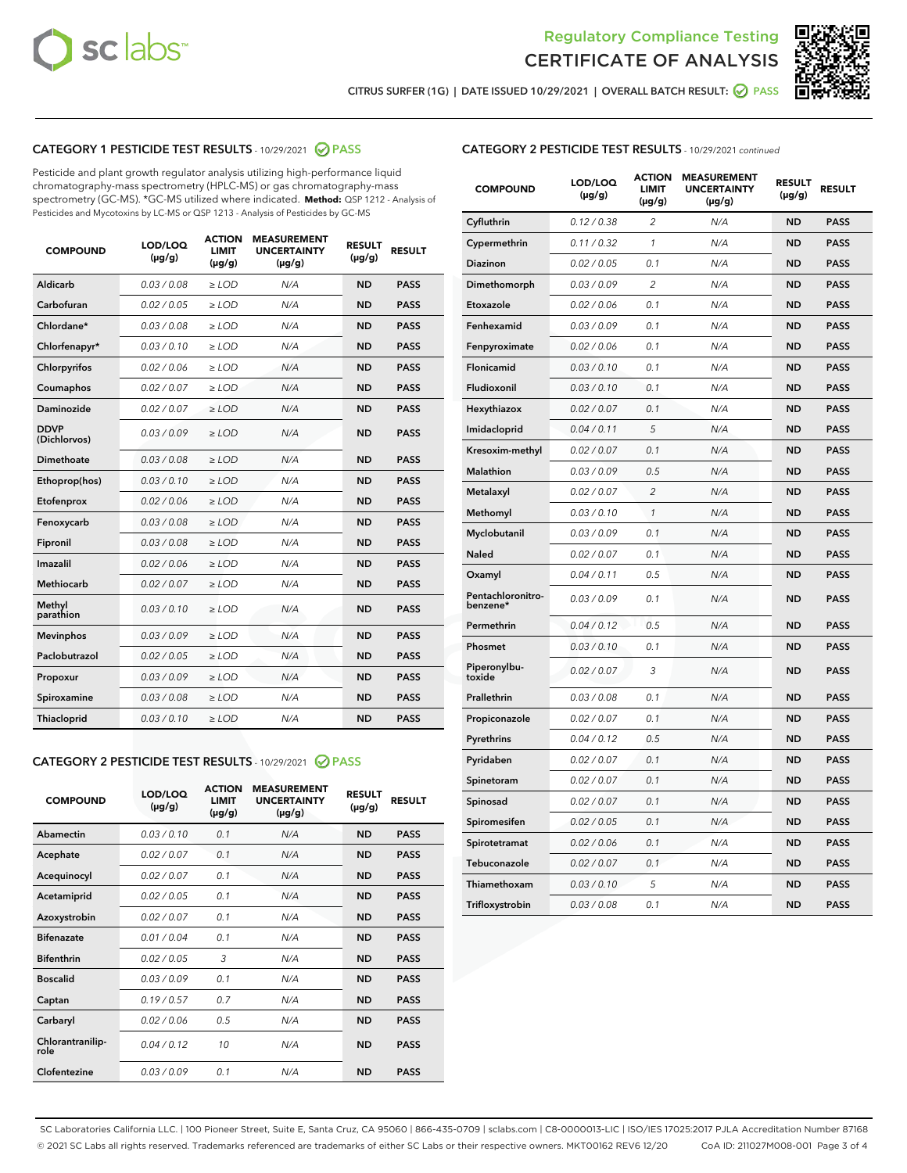



CITRUS SURFER (1G) | DATE ISSUED 10/29/2021 | OVERALL BATCH RESULT:  $\bigcirc$  PASS

# CATEGORY 1 PESTICIDE TEST RESULTS - 10/29/2021 2 PASS

Pesticide and plant growth regulator analysis utilizing high-performance liquid chromatography-mass spectrometry (HPLC-MS) or gas chromatography-mass spectrometry (GC-MS). \*GC-MS utilized where indicated. **Method:** QSP 1212 - Analysis of Pesticides and Mycotoxins by LC-MS or QSP 1213 - Analysis of Pesticides by GC-MS

| <b>Aldicarb</b><br>0.03 / 0.08<br><b>ND</b><br>$\ge$ LOD<br>N/A<br><b>PASS</b><br>Carbofuran<br>0.02/0.05<br>$\ge$ LOD<br>N/A<br><b>ND</b><br><b>PASS</b><br>Chlordane*<br>0.03 / 0.08<br><b>ND</b><br>$>$ LOD<br>N/A<br><b>PASS</b><br>0.03/0.10<br><b>ND</b><br><b>PASS</b><br>Chlorfenapyr*<br>$\ge$ LOD<br>N/A<br>0.02 / 0.06<br>N/A<br><b>ND</b><br><b>PASS</b><br>Chlorpyrifos<br>$\ge$ LOD<br>0.02 / 0.07<br>N/A<br><b>ND</b><br><b>PASS</b><br>Coumaphos<br>$>$ LOD<br>Daminozide<br>0.02 / 0.07<br>$\ge$ LOD<br>N/A<br><b>ND</b><br><b>PASS</b><br><b>DDVP</b><br>0.03/0.09<br>$\ge$ LOD<br>N/A<br><b>ND</b><br><b>PASS</b><br>(Dichlorvos)<br>Dimethoate<br><b>ND</b><br><b>PASS</b><br>0.03 / 0.08<br>$>$ LOD<br>N/A<br>0.03/0.10<br>Ethoprop(hos)<br>$\ge$ LOD<br>N/A<br><b>ND</b><br><b>PASS</b><br>0.02 / 0.06<br>$\ge$ LOD<br>N/A<br><b>ND</b><br><b>PASS</b><br>Etofenprox<br>Fenoxycarb<br>0.03 / 0.08<br>$>$ LOD<br>N/A<br><b>ND</b><br><b>PASS</b><br>0.03 / 0.08<br><b>ND</b><br><b>PASS</b><br>Fipronil<br>$\ge$ LOD<br>N/A<br>Imazalil<br>0.02 / 0.06<br>$>$ LOD<br>N/A<br><b>ND</b><br><b>PASS</b><br>0.02 / 0.07<br>Methiocarb<br>N/A<br><b>ND</b><br>$>$ LOD<br><b>PASS</b><br>Methyl<br>0.03/0.10<br>$\ge$ LOD<br>N/A<br><b>ND</b><br><b>PASS</b><br>parathion<br>0.03/0.09<br>$\ge$ LOD<br>N/A<br><b>ND</b><br><b>PASS</b><br><b>Mevinphos</b><br>Paclobutrazol<br>0.02 / 0.05<br>$\ge$ LOD<br>N/A<br><b>ND</b><br><b>PASS</b><br>0.03/0.09<br>N/A<br>$\ge$ LOD<br><b>ND</b><br><b>PASS</b><br>Propoxur<br>0.03 / 0.08<br><b>ND</b><br><b>PASS</b><br>Spiroxamine<br>$\ge$ LOD<br>N/A<br><b>PASS</b><br>Thiacloprid<br>0.03/0.10<br>$\ge$ LOD<br>N/A<br><b>ND</b> | <b>COMPOUND</b> | LOD/LOQ<br>$(\mu g/g)$ | <b>ACTION</b><br>LIMIT<br>$(\mu g/g)$ | <b>MEASUREMENT</b><br><b>UNCERTAINTY</b><br>$(\mu g/g)$ | <b>RESULT</b><br>$(\mu g/g)$ | <b>RESULT</b> |
|----------------------------------------------------------------------------------------------------------------------------------------------------------------------------------------------------------------------------------------------------------------------------------------------------------------------------------------------------------------------------------------------------------------------------------------------------------------------------------------------------------------------------------------------------------------------------------------------------------------------------------------------------------------------------------------------------------------------------------------------------------------------------------------------------------------------------------------------------------------------------------------------------------------------------------------------------------------------------------------------------------------------------------------------------------------------------------------------------------------------------------------------------------------------------------------------------------------------------------------------------------------------------------------------------------------------------------------------------------------------------------------------------------------------------------------------------------------------------------------------------------------------------------------------------------------------------------------------------------------------------------------------------------------------------------------------|-----------------|------------------------|---------------------------------------|---------------------------------------------------------|------------------------------|---------------|
|                                                                                                                                                                                                                                                                                                                                                                                                                                                                                                                                                                                                                                                                                                                                                                                                                                                                                                                                                                                                                                                                                                                                                                                                                                                                                                                                                                                                                                                                                                                                                                                                                                                                                              |                 |                        |                                       |                                                         |                              |               |
|                                                                                                                                                                                                                                                                                                                                                                                                                                                                                                                                                                                                                                                                                                                                                                                                                                                                                                                                                                                                                                                                                                                                                                                                                                                                                                                                                                                                                                                                                                                                                                                                                                                                                              |                 |                        |                                       |                                                         |                              |               |
|                                                                                                                                                                                                                                                                                                                                                                                                                                                                                                                                                                                                                                                                                                                                                                                                                                                                                                                                                                                                                                                                                                                                                                                                                                                                                                                                                                                                                                                                                                                                                                                                                                                                                              |                 |                        |                                       |                                                         |                              |               |
|                                                                                                                                                                                                                                                                                                                                                                                                                                                                                                                                                                                                                                                                                                                                                                                                                                                                                                                                                                                                                                                                                                                                                                                                                                                                                                                                                                                                                                                                                                                                                                                                                                                                                              |                 |                        |                                       |                                                         |                              |               |
|                                                                                                                                                                                                                                                                                                                                                                                                                                                                                                                                                                                                                                                                                                                                                                                                                                                                                                                                                                                                                                                                                                                                                                                                                                                                                                                                                                                                                                                                                                                                                                                                                                                                                              |                 |                        |                                       |                                                         |                              |               |
|                                                                                                                                                                                                                                                                                                                                                                                                                                                                                                                                                                                                                                                                                                                                                                                                                                                                                                                                                                                                                                                                                                                                                                                                                                                                                                                                                                                                                                                                                                                                                                                                                                                                                              |                 |                        |                                       |                                                         |                              |               |
|                                                                                                                                                                                                                                                                                                                                                                                                                                                                                                                                                                                                                                                                                                                                                                                                                                                                                                                                                                                                                                                                                                                                                                                                                                                                                                                                                                                                                                                                                                                                                                                                                                                                                              |                 |                        |                                       |                                                         |                              |               |
|                                                                                                                                                                                                                                                                                                                                                                                                                                                                                                                                                                                                                                                                                                                                                                                                                                                                                                                                                                                                                                                                                                                                                                                                                                                                                                                                                                                                                                                                                                                                                                                                                                                                                              |                 |                        |                                       |                                                         |                              |               |
|                                                                                                                                                                                                                                                                                                                                                                                                                                                                                                                                                                                                                                                                                                                                                                                                                                                                                                                                                                                                                                                                                                                                                                                                                                                                                                                                                                                                                                                                                                                                                                                                                                                                                              |                 |                        |                                       |                                                         |                              |               |
|                                                                                                                                                                                                                                                                                                                                                                                                                                                                                                                                                                                                                                                                                                                                                                                                                                                                                                                                                                                                                                                                                                                                                                                                                                                                                                                                                                                                                                                                                                                                                                                                                                                                                              |                 |                        |                                       |                                                         |                              |               |
|                                                                                                                                                                                                                                                                                                                                                                                                                                                                                                                                                                                                                                                                                                                                                                                                                                                                                                                                                                                                                                                                                                                                                                                                                                                                                                                                                                                                                                                                                                                                                                                                                                                                                              |                 |                        |                                       |                                                         |                              |               |
|                                                                                                                                                                                                                                                                                                                                                                                                                                                                                                                                                                                                                                                                                                                                                                                                                                                                                                                                                                                                                                                                                                                                                                                                                                                                                                                                                                                                                                                                                                                                                                                                                                                                                              |                 |                        |                                       |                                                         |                              |               |
|                                                                                                                                                                                                                                                                                                                                                                                                                                                                                                                                                                                                                                                                                                                                                                                                                                                                                                                                                                                                                                                                                                                                                                                                                                                                                                                                                                                                                                                                                                                                                                                                                                                                                              |                 |                        |                                       |                                                         |                              |               |
|                                                                                                                                                                                                                                                                                                                                                                                                                                                                                                                                                                                                                                                                                                                                                                                                                                                                                                                                                                                                                                                                                                                                                                                                                                                                                                                                                                                                                                                                                                                                                                                                                                                                                              |                 |                        |                                       |                                                         |                              |               |
|                                                                                                                                                                                                                                                                                                                                                                                                                                                                                                                                                                                                                                                                                                                                                                                                                                                                                                                                                                                                                                                                                                                                                                                                                                                                                                                                                                                                                                                                                                                                                                                                                                                                                              |                 |                        |                                       |                                                         |                              |               |
|                                                                                                                                                                                                                                                                                                                                                                                                                                                                                                                                                                                                                                                                                                                                                                                                                                                                                                                                                                                                                                                                                                                                                                                                                                                                                                                                                                                                                                                                                                                                                                                                                                                                                              |                 |                        |                                       |                                                         |                              |               |
|                                                                                                                                                                                                                                                                                                                                                                                                                                                                                                                                                                                                                                                                                                                                                                                                                                                                                                                                                                                                                                                                                                                                                                                                                                                                                                                                                                                                                                                                                                                                                                                                                                                                                              |                 |                        |                                       |                                                         |                              |               |
|                                                                                                                                                                                                                                                                                                                                                                                                                                                                                                                                                                                                                                                                                                                                                                                                                                                                                                                                                                                                                                                                                                                                                                                                                                                                                                                                                                                                                                                                                                                                                                                                                                                                                              |                 |                        |                                       |                                                         |                              |               |
|                                                                                                                                                                                                                                                                                                                                                                                                                                                                                                                                                                                                                                                                                                                                                                                                                                                                                                                                                                                                                                                                                                                                                                                                                                                                                                                                                                                                                                                                                                                                                                                                                                                                                              |                 |                        |                                       |                                                         |                              |               |
|                                                                                                                                                                                                                                                                                                                                                                                                                                                                                                                                                                                                                                                                                                                                                                                                                                                                                                                                                                                                                                                                                                                                                                                                                                                                                                                                                                                                                                                                                                                                                                                                                                                                                              |                 |                        |                                       |                                                         |                              |               |
|                                                                                                                                                                                                                                                                                                                                                                                                                                                                                                                                                                                                                                                                                                                                                                                                                                                                                                                                                                                                                                                                                                                                                                                                                                                                                                                                                                                                                                                                                                                                                                                                                                                                                              |                 |                        |                                       |                                                         |                              |               |

#### CATEGORY 2 PESTICIDE TEST RESULTS - 10/29/2021 @ PASS

| <b>COMPOUND</b>          | LOD/LOQ<br>$(\mu g/g)$ | <b>ACTION</b><br><b>LIMIT</b><br>$(\mu g/g)$ | <b>MEASUREMENT</b><br><b>UNCERTAINTY</b><br>$(\mu g/g)$ | <b>RESULT</b><br>$(\mu g/g)$ | <b>RESULT</b> |
|--------------------------|------------------------|----------------------------------------------|---------------------------------------------------------|------------------------------|---------------|
| Abamectin                | 0.03/0.10              | 0.1                                          | N/A                                                     | <b>ND</b>                    | <b>PASS</b>   |
| Acephate                 | 0.02/0.07              | 0.1                                          | N/A                                                     | <b>ND</b>                    | <b>PASS</b>   |
| Acequinocyl              | 0.02/0.07              | 0.1                                          | N/A                                                     | <b>ND</b>                    | <b>PASS</b>   |
| Acetamiprid              | 0.02/0.05              | 0.1                                          | N/A                                                     | <b>ND</b>                    | <b>PASS</b>   |
| Azoxystrobin             | 0.02/0.07              | 0.1                                          | N/A                                                     | <b>ND</b>                    | <b>PASS</b>   |
| <b>Bifenazate</b>        | 0.01/0.04              | 0.1                                          | N/A                                                     | <b>ND</b>                    | <b>PASS</b>   |
| <b>Bifenthrin</b>        | 0.02 / 0.05            | 3                                            | N/A                                                     | <b>ND</b>                    | <b>PASS</b>   |
| <b>Boscalid</b>          | 0.03/0.09              | 0.1                                          | N/A                                                     | <b>ND</b>                    | <b>PASS</b>   |
| Captan                   | 0.19/0.57              | 0.7                                          | N/A                                                     | <b>ND</b>                    | <b>PASS</b>   |
| Carbaryl                 | 0.02/0.06              | 0.5                                          | N/A                                                     | <b>ND</b>                    | <b>PASS</b>   |
| Chlorantranilip-<br>role | 0.04/0.12              | 10                                           | N/A                                                     | <b>ND</b>                    | <b>PASS</b>   |
| Clofentezine             | 0.03/0.09              | 0.1                                          | N/A                                                     | <b>ND</b>                    | <b>PASS</b>   |

| <b>CATEGORY 2 PESTICIDE TEST RESULTS</b> - 10/29/2021 continued |
|-----------------------------------------------------------------|
|-----------------------------------------------------------------|

| <b>COMPOUND</b>               | LOD/LOQ<br>(µg/g) | <b>ACTION</b><br>LIMIT<br>(µg/g) | <b>MEASUREMENT</b><br><b>UNCERTAINTY</b><br>(µg/g) | <b>RESULT</b><br>(µg/g) | <b>RESULT</b> |
|-------------------------------|-------------------|----------------------------------|----------------------------------------------------|-------------------------|---------------|
| Cyfluthrin                    | 0.12 / 0.38       | $\overline{c}$                   | N/A                                                | <b>ND</b>               | <b>PASS</b>   |
| Cypermethrin                  | 0.11/0.32         | 1                                | N/A                                                | <b>ND</b>               | <b>PASS</b>   |
| Diazinon                      | 0.02 / 0.05       | 0.1                              | N/A                                                | <b>ND</b>               | <b>PASS</b>   |
| Dimethomorph                  | 0.03 / 0.09       | 2                                | N/A                                                | <b>ND</b>               | <b>PASS</b>   |
| Etoxazole                     | 0.02 / 0.06       | 0.1                              | N/A                                                | <b>ND</b>               | <b>PASS</b>   |
| Fenhexamid                    | 0.03 / 0.09       | 0.1                              | N/A                                                | <b>ND</b>               | <b>PASS</b>   |
| Fenpyroximate                 | 0.02 / 0.06       | 0.1                              | N/A                                                | <b>ND</b>               | <b>PASS</b>   |
| Flonicamid                    | 0.03 / 0.10       | 0.1                              | N/A                                                | <b>ND</b>               | <b>PASS</b>   |
| Fludioxonil                   | 0.03 / 0.10       | 0.1                              | N/A                                                | <b>ND</b>               | <b>PASS</b>   |
| Hexythiazox                   | 0.02 / 0.07       | 0.1                              | N/A                                                | <b>ND</b>               | <b>PASS</b>   |
| Imidacloprid                  | 0.04 / 0.11       | 5                                | N/A                                                | <b>ND</b>               | <b>PASS</b>   |
| Kresoxim-methyl               | 0.02 / 0.07       | 0.1                              | N/A                                                | <b>ND</b>               | <b>PASS</b>   |
| Malathion                     | 0.03 / 0.09       | 0.5                              | N/A                                                | <b>ND</b>               | <b>PASS</b>   |
| Metalaxyl                     | 0.02 / 0.07       | 2                                | N/A                                                | <b>ND</b>               | <b>PASS</b>   |
| Methomyl                      | 0.03 / 0.10       | $\mathcal{I}$                    | N/A                                                | <b>ND</b>               | <b>PASS</b>   |
| Myclobutanil                  | 0.03 / 0.09       | 0.1                              | N/A                                                | <b>ND</b>               | <b>PASS</b>   |
| Naled                         | 0.02 / 0.07       | 0.1                              | N/A                                                | <b>ND</b>               | <b>PASS</b>   |
| Oxamyl                        | 0.04 / 0.11       | 0.5                              | N/A                                                | <b>ND</b>               | <b>PASS</b>   |
| Pentachloronitro-<br>benzene* | 0.03 / 0.09       | 0.1                              | N/A                                                | <b>ND</b>               | <b>PASS</b>   |
| Permethrin                    | 0.04 / 0.12       | 0.5                              | N/A                                                | <b>ND</b>               | <b>PASS</b>   |
| Phosmet                       | 0.03 / 0.10       | 0.1                              | N/A                                                | <b>ND</b>               | <b>PASS</b>   |
| Piperonylbu-<br>toxide        | 0.02 / 0.07       | 3                                | N/A                                                | <b>ND</b>               | <b>PASS</b>   |
| Prallethrin                   | 0.03 / 0.08       | 0.1                              | N/A                                                | <b>ND</b>               | <b>PASS</b>   |
| Propiconazole                 | 0.02 / 0.07       | 0.1                              | N/A                                                | <b>ND</b>               | <b>PASS</b>   |
| Pyrethrins                    | 0.04 / 0.12       | 0.5                              | N/A                                                | <b>ND</b>               | <b>PASS</b>   |
| Pyridaben                     | 0.02 / 0.07       | 0.1                              | N/A                                                | <b>ND</b>               | <b>PASS</b>   |
| Spinetoram                    | 0.02 / 0.07       | 0.1                              | N/A                                                | <b>ND</b>               | <b>PASS</b>   |
| Spinosad                      | 0.02 / 0.07       | 0.1                              | N/A                                                | <b>ND</b>               | <b>PASS</b>   |
| Spiromesifen                  | 0.02 / 0.05       | 0.1                              | N/A                                                | <b>ND</b>               | <b>PASS</b>   |
| Spirotetramat                 | 0.02 / 0.06       | 0.1                              | N/A                                                | ND                      | <b>PASS</b>   |
| Tebuconazole                  | 0.02 / 0.07       | 0.1                              | N/A                                                | <b>ND</b>               | <b>PASS</b>   |
| Thiamethoxam                  | 0.03 / 0.10       | 5                                | N/A                                                | <b>ND</b>               | <b>PASS</b>   |
| Trifloxystrobin               | 0.03 / 0.08       | 0.1                              | N/A                                                | <b>ND</b>               | <b>PASS</b>   |

SC Laboratories California LLC. | 100 Pioneer Street, Suite E, Santa Cruz, CA 95060 | 866-435-0709 | sclabs.com | C8-0000013-LIC | ISO/IES 17025:2017 PJLA Accreditation Number 87168 © 2021 SC Labs all rights reserved. Trademarks referenced are trademarks of either SC Labs or their respective owners. MKT00162 REV6 12/20 CoA ID: 211027M008-001 Page 3 of 4